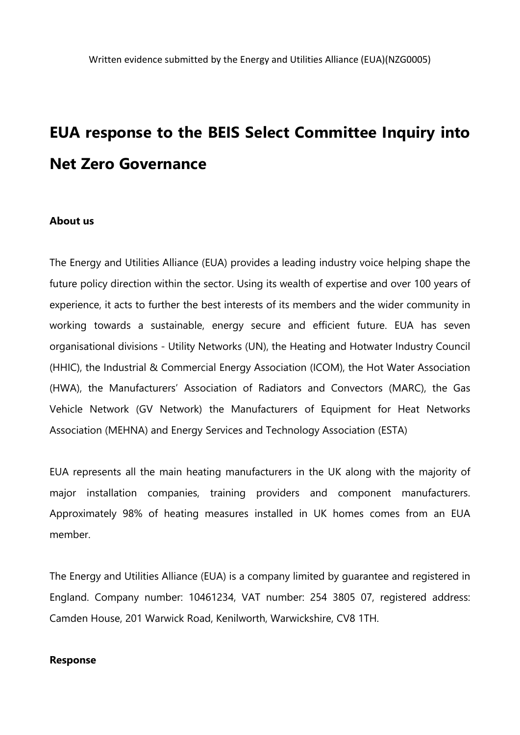# **EUA response to the BEIS Select Committee Inquiry into Net Zero Governance**

#### **About us**

The Energy and Utilities Alliance (EUA) provides a leading industry voice helping shape the future policy direction within the sector. Using its wealth of expertise and over 100 years of experience, it acts to further the best interests of its members and the wider community in working towards a sustainable, energy secure and efficient future. EUA has seven organisational divisions - Utility Networks (UN), the Heating and Hotwater Industry Council (HHIC), the Industrial & Commercial Energy Association (ICOM), the Hot Water Association (HWA), the Manufacturers' Association of Radiators and Convectors (MARC), the Gas Vehicle Network (GV Network) the Manufacturers of Equipment for Heat Networks Association (MEHNA) and Energy Services and Technology Association (ESTA)

EUA represents all the main heating manufacturers in the UK along with the majority of major installation companies, training providers and component manufacturers. Approximately 98% of heating measures installed in UK homes comes from an EUA member.

The Energy and Utilities Alliance (EUA) is a company limited by guarantee and registered in England. Company number: 10461234, VAT number: 254 3805 07, registered address: Camden House, 201 Warwick Road, Kenilworth, Warwickshire, CV8 1TH.

#### **Response**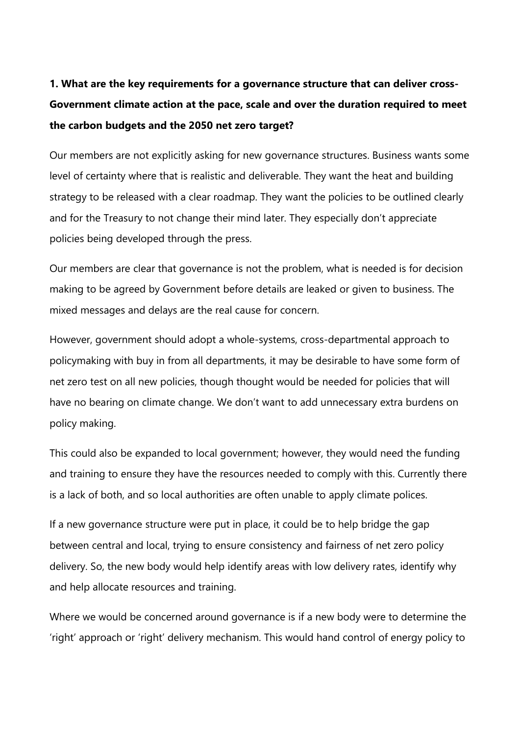# **1. What are the key requirements for a governance structure that can deliver cross-Government climate action at the pace, scale and over the duration required to meet the carbon budgets and the 2050 net zero target?**

Our members are not explicitly asking for new governance structures. Business wants some level of certainty where that is realistic and deliverable. They want the heat and building strategy to be released with a clear roadmap. They want the policies to be outlined clearly and for the Treasury to not change their mind later. They especially don't appreciate policies being developed through the press.

Our members are clear that governance is not the problem, what is needed is for decision making to be agreed by Government before details are leaked or given to business. The mixed messages and delays are the real cause for concern.

However, government should adopt a whole-systems, cross-departmental approach to policymaking with buy in from all departments, it may be desirable to have some form of net zero test on all new policies, though thought would be needed for policies that will have no bearing on climate change. We don't want to add unnecessary extra burdens on policy making.

This could also be expanded to local government; however, they would need the funding and training to ensure they have the resources needed to comply with this. Currently there is a lack of both, and so local authorities are often unable to apply climate polices.

If a new governance structure were put in place, it could be to help bridge the gap between central and local, trying to ensure consistency and fairness of net zero policy delivery. So, the new body would help identify areas with low delivery rates, identify why and help allocate resources and training.

Where we would be concerned around governance is if a new body were to determine the 'right' approach or 'right' delivery mechanism. This would hand control of energy policy to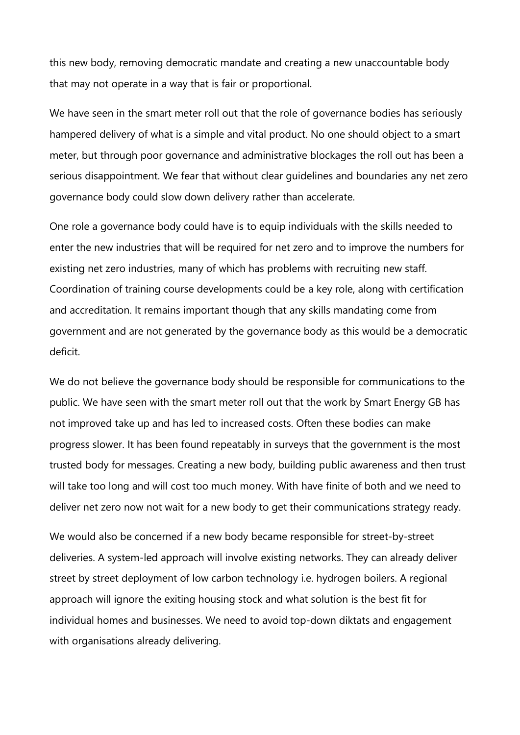this new body, removing democratic mandate and creating a new unaccountable body that may not operate in a way that is fair or proportional.

We have seen in the smart meter roll out that the role of governance bodies has seriously hampered delivery of what is a simple and vital product. No one should object to a smart meter, but through poor governance and administrative blockages the roll out has been a serious disappointment. We fear that without clear guidelines and boundaries any net zero governance body could slow down delivery rather than accelerate.

One role a governance body could have is to equip individuals with the skills needed to enter the new industries that will be required for net zero and to improve the numbers for existing net zero industries, many of which has problems with recruiting new staff. Coordination of training course developments could be a key role, along with certification and accreditation. It remains important though that any skills mandating come from government and are not generated by the governance body as this would be a democratic deficit.

We do not believe the governance body should be responsible for communications to the public. We have seen with the smart meter roll out that the work by Smart Energy GB has not improved take up and has led to increased costs. Often these bodies can make progress slower. It has been found repeatably in surveys that the government is the most trusted body for messages. Creating a new body, building public awareness and then trust will take too long and will cost too much money. With have finite of both and we need to deliver net zero now not wait for a new body to get their communications strategy ready.

We would also be concerned if a new body became responsible for street-by-street deliveries. A system-led approach will involve existing networks. They can already deliver street by street deployment of low carbon technology i.e. hydrogen boilers. A regional approach will ignore the exiting housing stock and what solution is the best fit for individual homes and businesses. We need to avoid top-down diktats and engagement with organisations already delivering.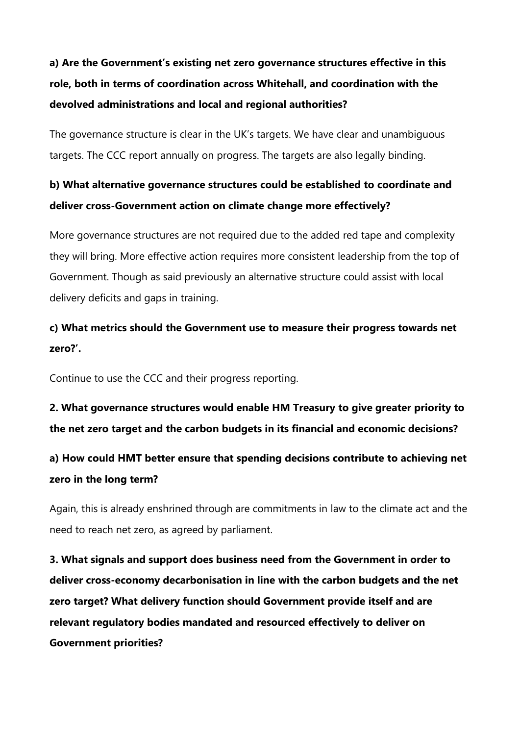# **a) Are the Government's existing net zero governance structures effective in this role, both in terms of coordination across Whitehall, and coordination with the devolved administrations and local and regional authorities?**

The governance structure is clear in the UK's targets. We have clear and unambiguous targets. The CCC report annually on progress. The targets are also legally binding.

### **b) What alternative governance structures could be established to coordinate and deliver cross-Government action on climate change more effectively?**

More governance structures are not required due to the added red tape and complexity they will bring. More effective action requires more consistent leadership from the top of Government. Though as said previously an alternative structure could assist with local delivery deficits and gaps in training.

### **c) What metrics should the Government use to measure their progress towards net zero?'.**

Continue to use the CCC and their progress reporting.

**2. What governance structures would enable HM Treasury to give greater priority to the net zero target and the carbon budgets in its financial and economic decisions?**

### **a) How could HMT better ensure that spending decisions contribute to achieving net zero in the long term?**

Again, this is already enshrined through are commitments in law to the climate act and the need to reach net zero, as agreed by parliament.

**3. What signals and support does business need from the Government in order to deliver cross-economy decarbonisation in line with the carbon budgets and the net zero target? What delivery function should Government provide itself and are relevant regulatory bodies mandated and resourced effectively to deliver on Government priorities?**